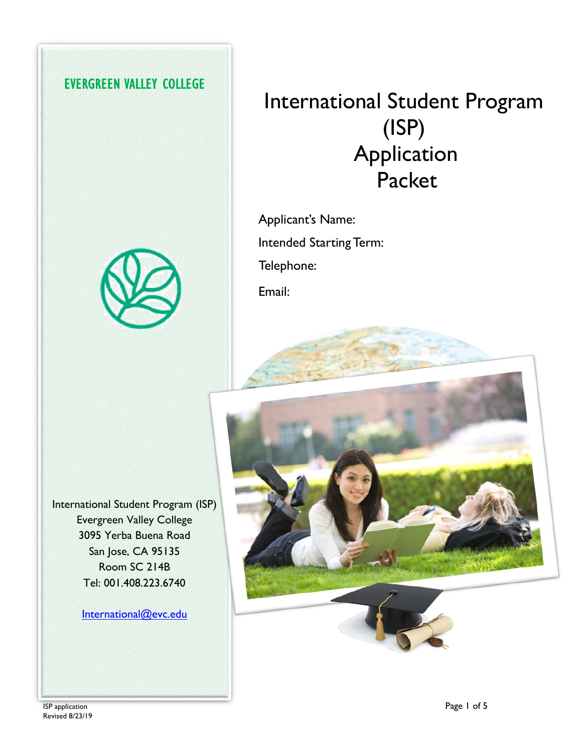### **EVERGREEN VALLEY COLLEGE**

# International Student Program (ISP) Application Packet

Applicant's Name: Intended Starting Term: Telephone:





International Student Program (ISP) Evergreen Valley College 3095 Yerba Buena Road San Jose, CA 95135 Room SC 214B Tel: 001.408.223.6740

[International@evc.edu](mailto:International@evc.edu)



 $I$ SP application  $\blacksquare$ Revised 8/23/19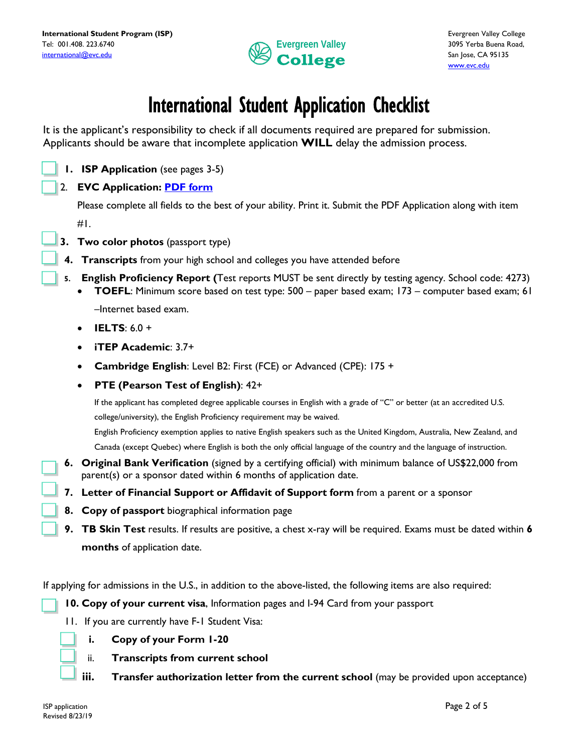

## International Student Application Checklist

It is the applicant's responsibility to check if all documents required are prepared for submission. Applicants should be aware that incomplete application **WILL** delay the admission process.

**1. ISP Application** (see pages 3-5)

### 2. **EVC Application: [PDF form](https://author.evc.edu/StudentAffairs/Documents/Admissions%20App_03-14-17_fillable.pdf)**

Please complete all fields to the best of your ability. Print it. Submit the PDF Application along with item

 $#L$ .

- **3. Two color photos** (passport type)
- **4. Transcripts** from your high school and colleges you have attended before
- **5. English Proficiency Report (**Test reports MUST be sent directly by testing agency. School code: 4273)
	- **TOEFL**: Minimum score based on test type: 500 paper based exam; 173 computer based exam; 61 –Internet based exam.
	- **IELTS**: 6.0 +
	- **iTEP Academic**: 3.7+
	- **Cambridge English**: Level B2: First (FCE) or Advanced (CPE): 175 +
	- **PTE (Pearson Test of English)**: 42+

If the applicant has completed degree applicable courses in English with a grade of "C" or better (at an accredited U.S. college/university), the English Proficiency requirement may be waived.

English Proficiency exemption applies to native English speakers such as the United Kingdom, Australia, New Zealand, and Canada (except Quebec) where English is both the only official language of the country and the language of instruction.

- **6. Original Bank Verification** (signed by a certifying official) with minimum balance of US\$22,000 from parent(s) or a sponsor dated within 6 months of application date.
- **7. Letter of Financial Support or Affidavit of Support form** from a parent or a sponsor
- **8. Copy of passport** biographical information page
- **9. TB Skin Test** results. If results are positive, a chest x-ray will be required. Exams must be dated within **6 months** of application date.

If applying for admissions in the U.S., in addition to the above-listed, the following items are also required:

- **10. Copy of your current visa**, Information pages and I-94 Card from your passport
- 11. If you are currently have F-1 Student Visa:



- ii. **Transcripts from current school**
- iii. **Transfer authorization letter from the current school** (may be provided upon acceptance)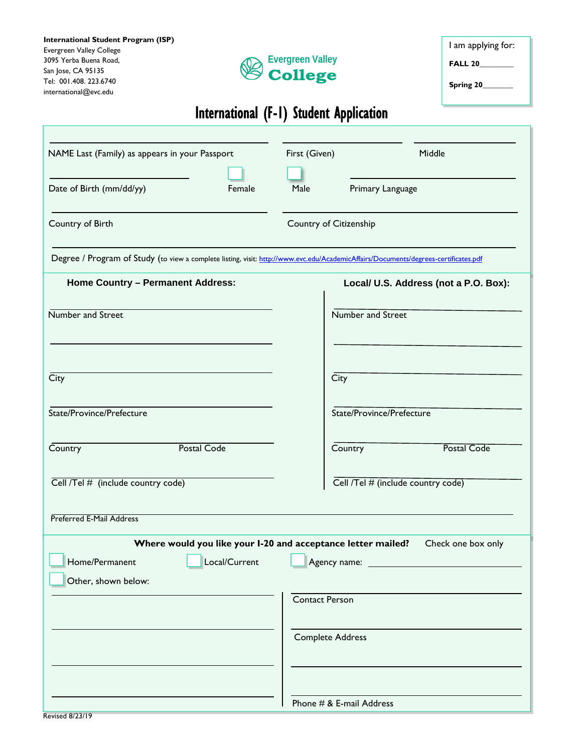| International Student Program (ISP) |
|-------------------------------------|
| <b>Evergreen Valley College</b>     |
| 3095 Yerba Buena Road,              |
| San Jose, CA 95135                  |
| Tel: 001.408, 223.6740              |
| international@evc.edu               |

Г



I am applying for:

**FALL 20\_\_\_\_\_\_\_\_\_**

**Spring 20\_\_\_\_\_\_\_\_**

### International (F-1) Student Application

| NAME Last (Family) as appears in your Passport                                                                                      |                                                              | First (Given)           |                                    | Middle                                |
|-------------------------------------------------------------------------------------------------------------------------------------|--------------------------------------------------------------|-------------------------|------------------------------------|---------------------------------------|
| Date of Birth (mm/dd/yy)                                                                                                            | Female                                                       | Male                    | Primary Language                   |                                       |
| Country of Birth                                                                                                                    |                                                              | Country of Citizenship  |                                    |                                       |
| Degree / Program of Study (to view a complete listing, visit: http://www.evc.edu/AcademicAffairs/Documents/degrees-certificates.pdf |                                                              |                         |                                    |                                       |
| <b>Home Country - Permanent Address:</b>                                                                                            |                                                              |                         |                                    | Local/ U.S. Address (not a P.O. Box): |
| Number and Street                                                                                                                   |                                                              |                         | Number and Street                  |                                       |
|                                                                                                                                     |                                                              |                         |                                    |                                       |
| City                                                                                                                                |                                                              |                         | City                               |                                       |
| State/Province/Prefecture                                                                                                           |                                                              |                         | State/Province/Prefecture          |                                       |
| Country                                                                                                                             | <b>Postal Code</b>                                           |                         | Country                            | <b>Postal Code</b>                    |
| Cell /Tel # (include country code)                                                                                                  |                                                              |                         | Cell /Tel # (include country code) |                                       |
| Preferred E-Mail Address                                                                                                            |                                                              |                         |                                    |                                       |
|                                                                                                                                     | Where would you like your I-20 and acceptance letter mailed? |                         |                                    | Check one box only                    |
| Home/Permanent                                                                                                                      | Local/Current                                                | Agency name:            |                                    |                                       |
| Other, shown below:                                                                                                                 |                                                              | <b>Contact Person</b>   |                                    |                                       |
|                                                                                                                                     |                                                              |                         |                                    |                                       |
|                                                                                                                                     |                                                              | <b>Complete Address</b> |                                    |                                       |
|                                                                                                                                     |                                                              |                         |                                    |                                       |
|                                                                                                                                     |                                                              |                         | Phone # & E-mail Address           |                                       |
| <b>Revised 8/23/19</b>                                                                                                              |                                                              |                         |                                    |                                       |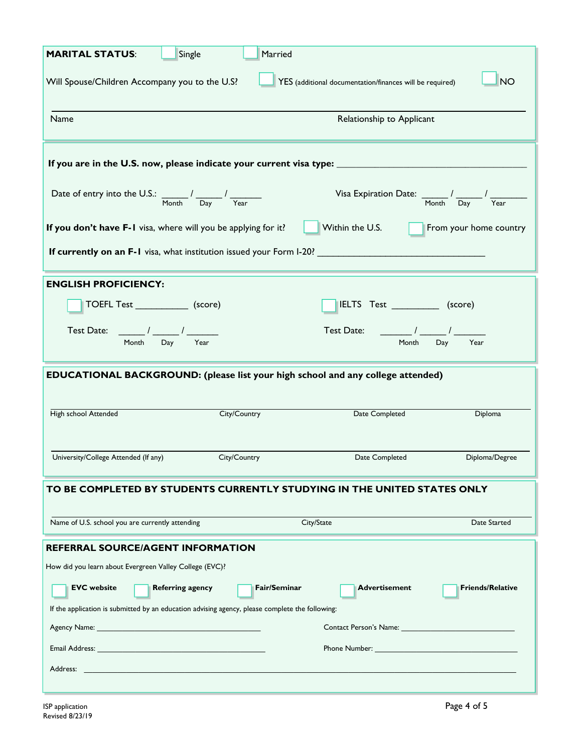| <b>MARITAL STATUS:</b>                                                                                                                                                                                                         | Single                    | Married      |                                                                                        |                         |  |
|--------------------------------------------------------------------------------------------------------------------------------------------------------------------------------------------------------------------------------|---------------------------|--------------|----------------------------------------------------------------------------------------|-------------------------|--|
| YES (additional documentation/finances will be required)<br>Will Spouse/Children Accompany you to the U.S?<br><b>NO</b>                                                                                                        |                           |              |                                                                                        |                         |  |
| Name                                                                                                                                                                                                                           | Relationship to Applicant |              |                                                                                        |                         |  |
| If you are in the U.S. now, please indicate your current visa type: _________                                                                                                                                                  |                           |              |                                                                                        |                         |  |
| Date of entry into the U.S.: $\frac{1}{M_{\text{Onth}}}$ / $\frac{1}{D_{\text{ay}}}$ / $\frac{1}{Y_{\text{ear}}}$                                                                                                              |                           |              | Visa Expiration Date: $\frac{1}{\sqrt{2\pi}} \int \frac{1}{\sqrt{2\pi}}$               |                         |  |
| If you don't have F-1 visa, where will you be applying for it?                                                                                                                                                                 |                           |              | Within the U.S.                                                                        | From your home country  |  |
| If currently on an F-1 visa, what institution issued your Form I-20?                                                                                                                                                           |                           |              |                                                                                        |                         |  |
| <b>ENGLISH PROFICIENCY:</b>                                                                                                                                                                                                    |                           |              |                                                                                        |                         |  |
| TOEFL Test ______________ (score)                                                                                                                                                                                              |                           |              | IELTS Test (score)                                                                     |                         |  |
| Test Date: ________ / _______ / ________<br>Month                                                                                                                                                                              | Day<br>Year               |              | Test Date:<br>$\sqrt{1-\frac{1}{2}}$<br>Month                                          | Day<br>Year             |  |
|                                                                                                                                                                                                                                |                           |              | <b>EDUCATIONAL BACKGROUND:</b> (please list your high school and any college attended) |                         |  |
| High school Attended                                                                                                                                                                                                           | City/Country              |              | Date Completed                                                                         | Diploma                 |  |
| University/College Attended (If any)                                                                                                                                                                                           | City/Country              |              | Date Completed                                                                         | Diploma/Degree          |  |
| TO BE COMPLETED BY STUDENTS CURRENTLY STUDYING IN THE UNITED STATES ONLY                                                                                                                                                       |                           |              |                                                                                        |                         |  |
| Name of U.S. school you are currently attending                                                                                                                                                                                |                           |              | City/State                                                                             | Date Started            |  |
| REFERRAL SOURCE/AGENT INFORMATION                                                                                                                                                                                              |                           |              |                                                                                        |                         |  |
| How did you learn about Evergreen Valley College (EVC)?                                                                                                                                                                        |                           |              |                                                                                        |                         |  |
| <b>EVC</b> website                                                                                                                                                                                                             | <b>Referring agency</b>   | Fair/Seminar | <b>Advertisement</b>                                                                   | <b>Friends/Relative</b> |  |
| If the application is submitted by an education advising agency, please complete the following:                                                                                                                                |                           |              |                                                                                        |                         |  |
| Email Address: The Contract of the Contract of the Contract of the Contract of the Contract of the Contract of                                                                                                                 |                           |              | <b>Phone Number: Example 2018</b>                                                      |                         |  |
| Address: No. 2014 19:30 and 2014 19:30 and 20:30 and 20:30 and 20:30 and 20:30 and 20:30 and 20:30 and 20:30 and 20:30 and 20:30 and 20:30 and 20:30 and 20:30 and 20:30 and 20:30 and 20:30 and 20:30 and 20:30 and 20:30 and |                           |              |                                                                                        |                         |  |
|                                                                                                                                                                                                                                |                           |              |                                                                                        |                         |  |